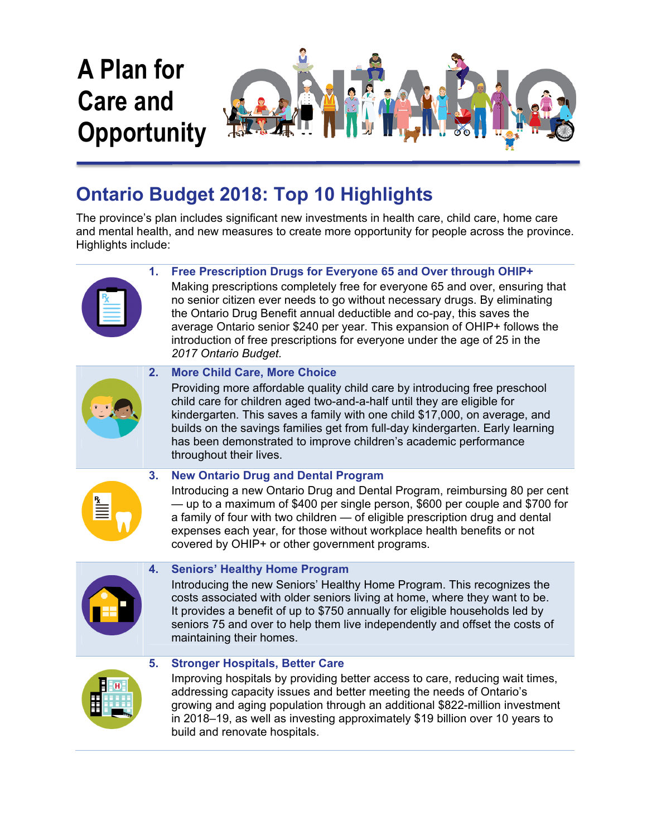

# **Ontario Budget 2018: Top 10 Highlights**

The province's plan includes significant new investments in health care, child care, home care and mental health, and new measures to create more opportunity for people across the province. Highlights include:

# **1. Free Prescription Drugs for Everyone 65 and Over through OHIP+**



Making prescriptions completely free for everyone 65 and over, ensuring that no senior citizen ever needs to go without necessary drugs. By eliminating the Ontario Drug Benefit annual deductible and co-pay, this saves the average Ontario senior \$240 per year. This expansion of OHIP+ follows the introduction of free prescriptions for everyone under the age of 25 in the *2017 Ontario Budget.*



# **2. More Child Care, More Choice**

Providing more affordable quality child care by introducing free preschool child care for children aged two-and-a-half until they are eligible for kindergarten. This saves a family with one child \$17,000, on average, and builds on the savings families get from full-day kindergarten. Early learning has been demonstrated to improve children's academic performance throughout their lives.



## **3. New Ontario Drug and Dental Program**

Introducing a new Ontario Drug and Dental Program, reimbursing 80 per cent — up to a maximum of \$400 per single person, \$600 per couple and \$700 for a family of four with two children — of eligible prescription drug and dental expenses each year, for those without workplace health benefits or not covered by OHIP+ or other government programs.



## **4. Seniors' Healthy Home Program**

Introducing the new Seniors' Healthy Home Program. This recognizes the costs associated with older seniors living at home, where they want to be. It provides a benefit of up to \$750 annually for eligible households led by seniors 75 and over to help them live independently and offset the costs of maintaining their homes.



## **5. Stronger Hospitals, Better Care**

Improving hospitals by providing better access to care, reducing wait times, addressing capacity issues and better meeting the needs of Ontario's growing and aging population through an additional \$822-million investment in 2018–19, as well as investing approximately \$19 billion over 10 years to build and renovate hospitals.